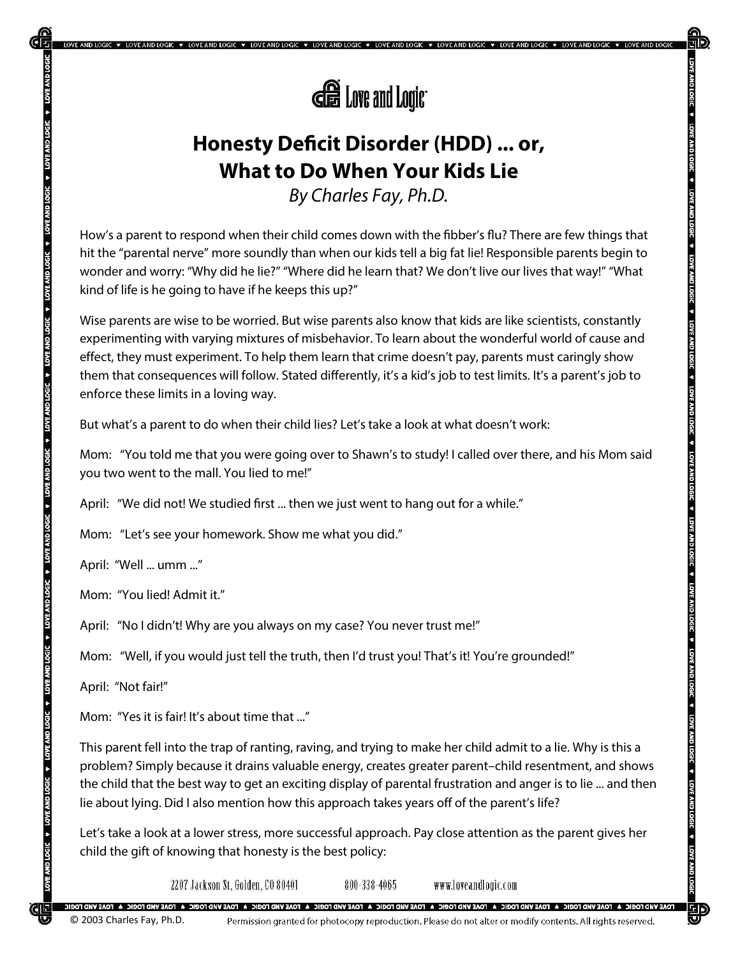

**\* LOVE AND LOGIC \* LOVE AND LOGIC \* LOVE AND LOGIC \* LOVE AND LOGIC** 

# **Honesty Deficit Disorder (HDD) ... or, What to Do When Your Kids Lie**

*By Charles Fay, Ph.D.*

How's a parent to respond when their child comes down with the fibber's flu? There are few things that hit the "parental nerve" more soundly than when our kids tell a big fat lie! Responsible parents begin to wonder and worry: "Why did he lie?" "Where did he learn that? We don't live our lives that way!" "What kind of life is he going to have if he keeps this up?"

Wise parents are wise to be worried. But wise parents also know that kids are like scientists, constantly experimenting with varying mixtures of misbehavior. To learn about the wonderful world of cause and effect, they must experiment. To help them learn that crime doesn't pay, parents must caringly show them that consequences will follow. Stated differently, it's a kid's job to test limits. It's a parent's job to enforce these limits in a loving way.

But what's a parent to do when their child lies? Let's take a look at what doesn't work:

Mom: "You told me that you were going over to Shawn's to study! I called over there, and his Mom said you two went to the mall. You lied to me!"

April: "We did not! We studied first ... then we just went to hang out for a while."

Mom: "Let's see your homework. Show me what you did."

April: "Well ... umm ..."

TONE AND LOGIC TO VER AND LOGIC TO LOVE AND LOGIC TOVE AND LOGIC TO VER AND LOGIC TO LOGIC TO LOGIC A LOVE AND

VE AND LOGIC + LOVE AND LOGIC + LOVE AND LOGIC + LOVE AND LOGIC + LOVE AND LOGIC + LOVE AND LOGIC +

Mom: "You lied! Admit it."

April: "No I didn't! Why are you always on my case? You never trust me!"

Mom: "Well, if you would just tell the truth, then I'd trust you! That's it! You're grounded!"

April: "Not fair!"

Mom: "Yes it is fair! It's about time that ..."

This parent fell into the trap of ranting, raving, and trying to make her child admit to a lie. Why is this a problem? Simply because it drains valuable energy, creates greater parent–child resentment, and shows the child that the best way to get an exciting display of parental frustration and anger is to lie ... and then lie about lying. Did I also mention how this approach takes years off of the parent's life?

Let's take a look at a lower stress, more successful approach. Pay close attention as the parent gives her child the gift of knowing that honesty is the best policy:

2207 Jackson St, Golden, CO 80401

www.loveandlogic.com 800-338-4065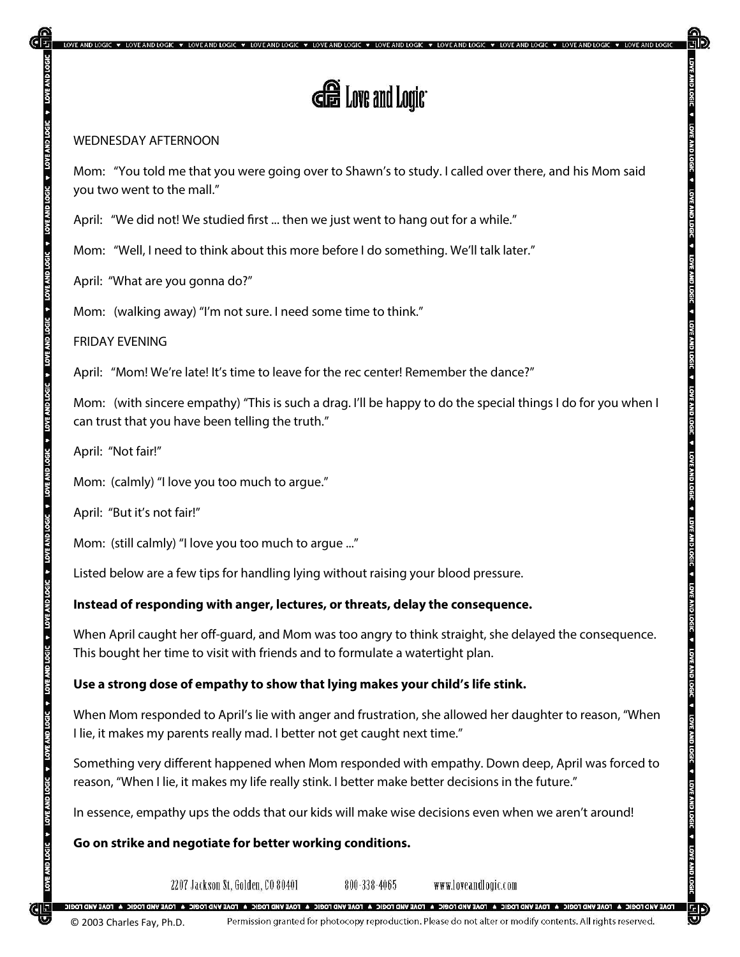LOVE AND LOGIC ♥ LOVE AND LOGIC ♥ LOVE AND LOGIC ♥ LOVE AND LOGIC ♥ LOVE AND LOGIC ♥ LOVE AND LOGIC ♥ LOVE AND LOGIC ♥ LOVE AND LOGIC ♥ LOVE AND LOGIC ♥

#### WEDNESDAY AFTERNOON

Mom: "You told me that you were going over to Shawn's to study. I called over there, and his Mom said you two went to the mall."

April: "We did not! We studied first ... then we just went to hang out for a while."

Mom: "Well, I need to think about this more before I do something. We'll talk later."

April: "What are you gonna do?"

Mom: (walking away) "I'm not sure. I need some time to think."

FRIDAY EVENING

April: "Mom! We're late! It's time to leave for the rec center! Remember the dance?"

Mom: (with sincere empathy) "This is such a drag. I'll be happy to do the special things I do for you when I can trust that you have been telling the truth."

April: "Not fair!"

DOCTONY AND TOLOGIC A TOOTONY A DOCTORY A DOCTORY AND LOTE AND TOTO AND TOTO ANYWARD A DOCTORY A DOCTORY AND TOOTONY AND TOOTONY AND TOOTONY AND TOOTONY AND TOOTONY AND TOOTONY AND TOOTONY AND TOOTONY AND TOOTONY AND TOOTO

Mom: (calmly) "I love you too much to argue."

April: "But it's not fair!"

Mom: (still calmly) "I love you too much to argue ..."

Listed below are a few tips for handling lying without raising your blood pressure.

## **Instead of responding with anger, lectures, or threats, delay the consequence.**

When April caught her off-guard, and Mom was too angry to think straight, she delayed the consequence. This bought her time to visit with friends and to formulate a watertight plan.

## **Use a strong dose of empathy to show that lying makes your child's life stink.**

When Mom responded to April's lie with anger and frustration, she allowed her daughter to reason, "When I lie, it makes my parents really mad. I better not get caught next time."

Something very different happened when Mom responded with empathy. Down deep, April was forced to reason, "When I lie, it makes my life really stink. I better make better decisions in the future."

In essence, empathy ups the odds that our kids will make wise decisions even when we aren't around!

**Go on strike and negotiate for better working conditions.**

2207 Jackson St, Golden, CO 80401

800-338-4065 www.loveandlogic.com

.<br>TOAE VIAD TOGIC A FOAE VIAD FOGE VIAD TOGIC A FOAE VIAD TOGIC A FOAE VIAD TOGIC A FOAE VIAD TOGIC A FOAE VIAD TOGIC A FOAE VIAD TOGIC A FOAE VIAD TOGIC

**Logi**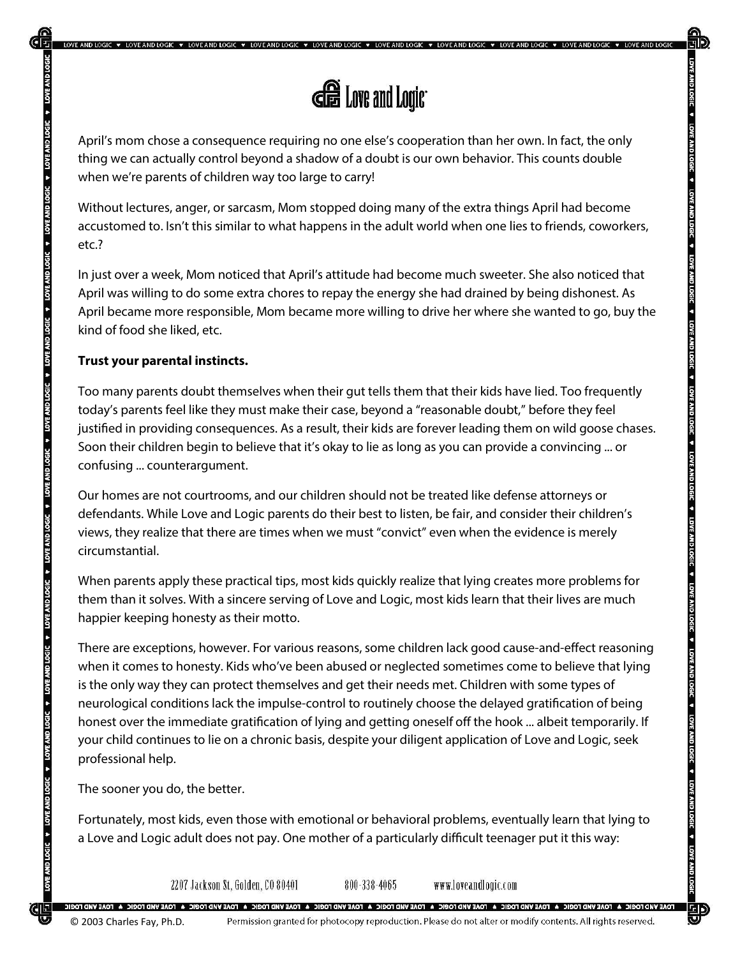

\* LOVE AND LOGIC \* LOVE AND LOGIC \* LOVE AND LOGIC \* LOVE AND LOGIC

April's mom chose a consequence requiring no one else's cooperation than her own. In fact, the only thing we can actually control beyond a shadow of a doubt is our own behavior. This counts double when we're parents of children way too large to carry!

Without lectures, anger, or sarcasm, Mom stopped doing many of the extra things April had become accustomed to. Isn't this similar to what happens in the adult world when one lies to friends, coworkers, etc.?

In just over a week, Mom noticed that April's attitude had become much sweeter. She also noticed that April was willing to do some extra chores to repay the energy she had drained by being dishonest. As April became more responsible, Mom became more willing to drive her where she wanted to go, buy the kind of food she liked, etc.

#### **Trust your parental instincts.**

**LOVE AND LOGI** 

VER AND LOGIC + LOVE AND LOGIC + LOVE AND LOGIC + LOVE AND LOGIC + LOVE AND LOGIC + LOVE AND LOGIC + LOVE AND LOGIC + LOVE AND LOGIC + LOVE AND LOGIC + LOVE AND LOGIC + LOVE AND LOGIC + LOVE AND LOGIC + LOVE AND LOGIC + LO

Too many parents doubt themselves when their gut tells them that their kids have lied. Too frequently today's parents feel like they must make their case, beyond a "reasonable doubt," before they feel justified in providing consequences. As a result, their kids are forever leading them on wild goose chases. Soon their children begin to believe that it's okay to lie as long as you can provide a convincing ... or confusing ... counterargument.

Our homes are not courtrooms, and our children should not be treated like defense attorneys or defendants. While Love and Logic parents do their best to listen, be fair, and consider their children's views, they realize that there are times when we must "convict" even when the evidence is merely circumstantial.

When parents apply these practical tips, most kids quickly realize that lying creates more problems for them than it solves. With a sincere serving of Love and Logic, most kids learn that their lives are much happier keeping honesty as their motto.

There are exceptions, however. For various reasons, some children lack good cause-and-effect reasoning when it comes to honesty. Kids who've been abused or neglected sometimes come to believe that lying is the only way they can protect themselves and get their needs met. Children with some types of neurological conditions lack the impulse-control to routinely choose the delayed gratification of being honest over the immediate gratification of lying and getting oneself off the hook ... albeit temporarily. If your child continues to lie on a chronic basis, despite your diligent application of Love and Logic, seek professional help.

The sooner you do, the better.

Fortunately, most kids, even those with emotional or behavioral problems, eventually learn that lying to a Love and Logic adult does not pay. One mother of a particularly difficult teenager put it this way:

2207 Jackson St. Golden, CO 80401

800-338-4065 www.loveandlogic.com

**IGIC A FOAE VAID FOGIC A FOAE VIR FOGIC A FOAE VAD FOGIC A FOAE VAID FOGIC A FOAE VAID FOGIC A FOAE VIRD FOGIC A FOAE VIRD FOGIC A FOAE VAID FOGIC A FOAE VAID FOGIC A FOAE VIRD FOGIC A FOAE VIRD FOGIC A FOAE VIRD FOGIC A** © 2003 Charles Fay, Ph.D.Permission granted for photocopy reproduction. Please do not alter or modify contents. All rights reserved. **LOVE AND**